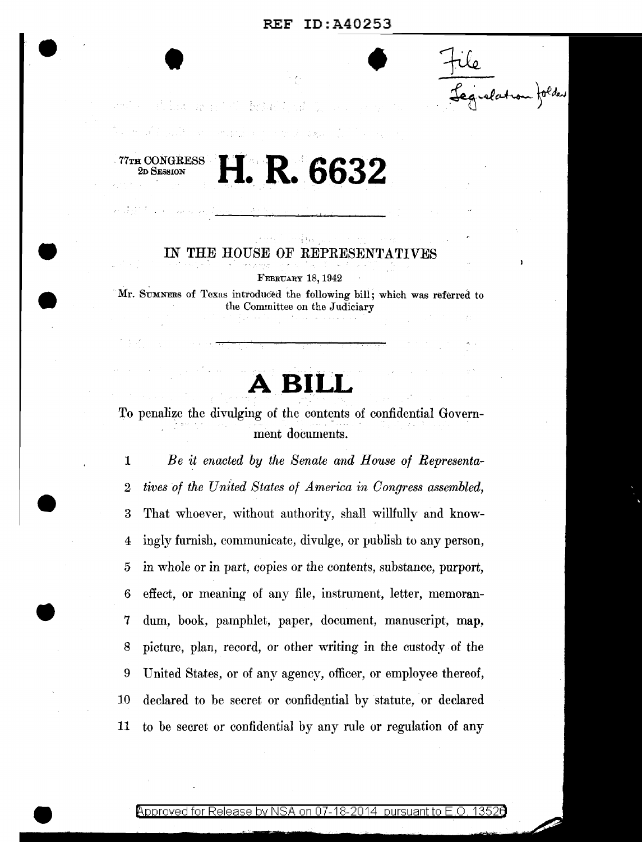file<br>Legislation folder

2. 第二次 网络罗马 医马来巴斯

77TH CONGRESS

2D SESSION

**'9** 

# H. R. 6632

#### ឃុំ ឃុំ IN THE HOUSE OF REPRESENTATIVES

FEBRUARY 18, 1942

Mr. SUMNERS of Texas introduced the following bill; which was referred to the Committee on the Judiciary

**A BILL.** 

To penalize the divulging of the contents of confidential Government documents.

1 *Be it enacted by the Senate and House of Representa-*2 *tives of the United States of America in Congress assembled,*  3 That whoever, without authority, shall willfully and know-4 iugly furnish, communicate, divulge, or publish to any person, 5 in whole or in part, copies or the contents, substance, purport, 6 effect, or meaning of any file, instrument, letter, memoran-7 dum, book, pamphlet, paper, document, manuscript, map, 8 picture, plan, record, or other writing in the custody of the 9 United States, or of any agency, officer, or employee thereof, 10 declared to be secret or confidential by statute, or declared 11 to be secret or confidential by any rule or regulation of any

#### <code>Approved</code> for Release by NSA on 07-18-2014 <code>pursuant</code> to E.O. 1352 $\theta$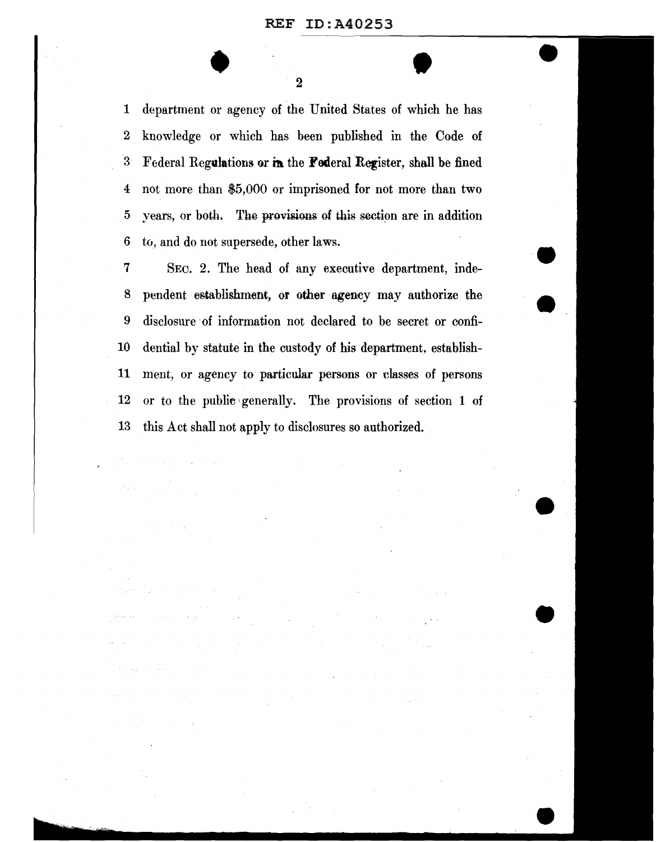$\begin{array}{|c|c|c|}\n\hline\n2 & 0 & \mbox{if } 2\n\end{array}$ 1 department or agency of the United States of which he has 2 knowledge or which has been published in the Code of 3 Federal Regulations or in the Federal Register, shall be fined 4 not more than \$5,000 or imprisoned for not more than two 5 years, or both. The provisions of this section are in addition 6 to, and do not supersede, other laws.

7 SEc. 2. The head of any executive department, inde-8 pendent establishment, or other agency may authorize the 9 disclosure ·of information not declared to be secret or confi-10 dential by statute in the custody of his department, establish-11 ment, or agency to particular persons or classes of persons 12 or to the public generally. The provisions of section 1 of 13 this Act shall not apply to disclosures so authorized.